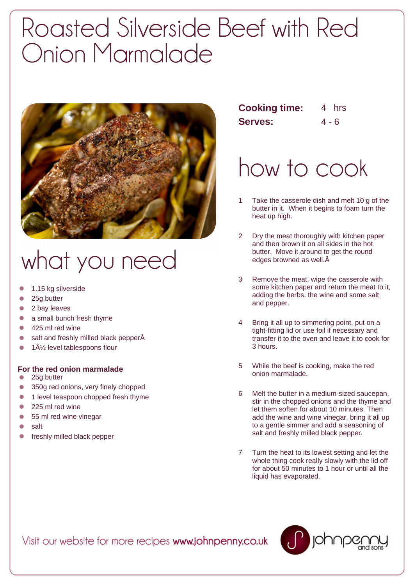## Roasted Silverside Beef with Red Onion Marmalade



## what you need

- 1.15 kg silverside
- 25g butter
- 2 bay leaves
- $\bullet$ a small bunch fresh thyme
- 425 ml red wine
- salt and freshly milled black pepperÂ
- 1½ level tablespoons flour

## **For the red onion marmalade**

- 25g butter
- 350g red onions, very finely chopped ٠
- ٠ 1 level teaspoon chopped fresh thyme
- 225 ml red wine ٠
- 55 ml red wine vinegar  $\bullet$
- salt ٠
- freshly milled black pepper

| <b>Cooking time:</b> |         | 4 hrs |
|----------------------|---------|-------|
| <b>Serves:</b>       | $4 - 6$ |       |

## how to cook

- 1 Take the casserole dish and melt 10 g of the butter in it. When it begins to foam turn the heat up high.
- 2 Dry the meat thoroughly with kitchen paper and then brown it on all sides in the hot butter. Move it around to get the round edges browned as well.
- 3 Remove the meat, wipe the casserole with some kitchen paper and return the meat to it, adding the herbs, the wine and some salt and pepper.
- 4 Bring it all up to simmering point, put on a tight-fitting lid or use foil if necessary and transfer it to the oven and leave it to cook for 3 hours.
- 5 While the beef is cooking, make the red onion marmalade.
- 6 Melt the butter in a medium-sized saucepan, stir in the chopped onions and the thyme and let them soften for about 10 minutes. Then add the wine and wine vinegar, bring it all up to a gentle simmer and add a seasoning of salt and freshly milled black pepper.
- 7 Turn the heat to its lowest setting and let the whole thing cook really slowly with the lid off for about 50 minutes to 1 hour or until all the liquid has evaporated.

Visit our website for more recipes www.johnpenny.co.uk